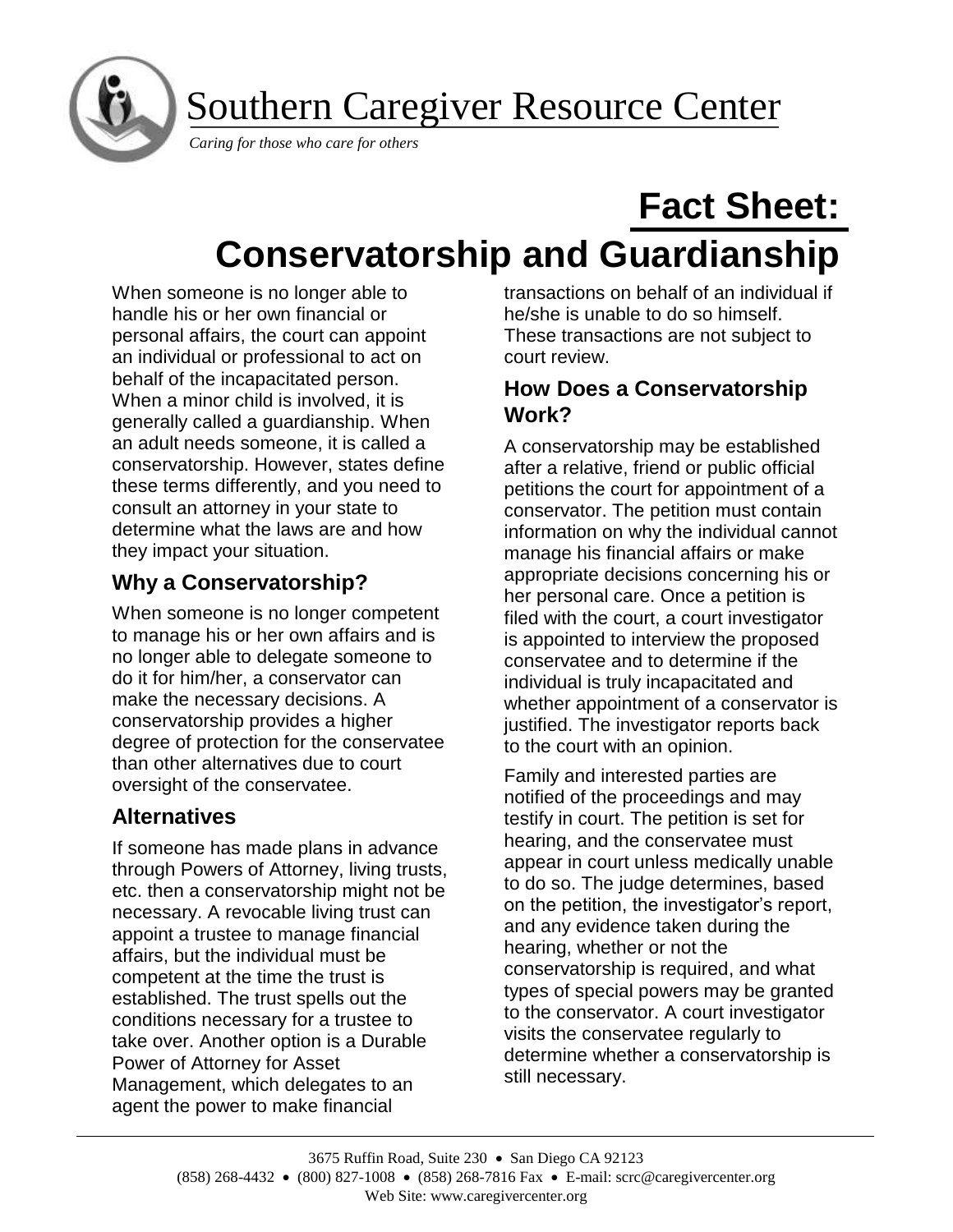Southern Caregiver Resource Center

*Caring for those who care for others* 

I

# **Fact Sheet: Conservatorship and Guardianship**

When someone is no longer able to handle his or her own financial or personal affairs, the court can appoint an individual or professional to act on behalf of the incapacitated person. When a minor child is involved, it is generally called a guardianship. When an adult needs someone, it is called a conservatorship. However, states define these terms differently, and you need to consult an attorney in your state to determine what the laws are and how they impact your situation.

## **Why a Conservatorship?**

When someone is no longer competent to manage his or her own affairs and is no longer able to delegate someone to do it for him/her, a conservator can make the necessary decisions. A conservatorship provides a higher degree of protection for the conservatee than other alternatives due to court oversight of the conservatee.

## **Alternatives**

If someone has made plans in advance through Powers of Attorney, living trusts, etc. then a conservatorship might not be necessary. A revocable living trust can appoint a trustee to manage financial affairs, but the individual must be competent at the time the trust is established. The trust spells out the conditions necessary for a trustee to take over. Another option is a Durable Power of Attorney for Asset Management, which delegates to an agent the power to make financial

transactions on behalf of an individual if he/she is unable to do so himself. These transactions are not subject to court review.

## **How Does a Conservatorship Work?**

A conservatorship may be established after a relative, friend or public official petitions the court for appointment of a conservator. The petition must contain information on why the individual cannot manage his financial affairs or make appropriate decisions concerning his or her personal care. Once a petition is filed with the court, a court investigator is appointed to interview the proposed conservatee and to determine if the individual is truly incapacitated and whether appointment of a conservator is justified. The investigator reports back to the court with an opinion.

Family and interested parties are notified of the proceedings and may testify in court. The petition is set for hearing, and the conservatee must appear in court unless medically unable to do so. The judge determines, based on the petition, the investigator's report, and any evidence taken during the hearing, whether or not the conservatorship is required, and what types of special powers may be granted to the conservator. A court investigator visits the conservatee regularly to determine whether a conservatorship is still necessary.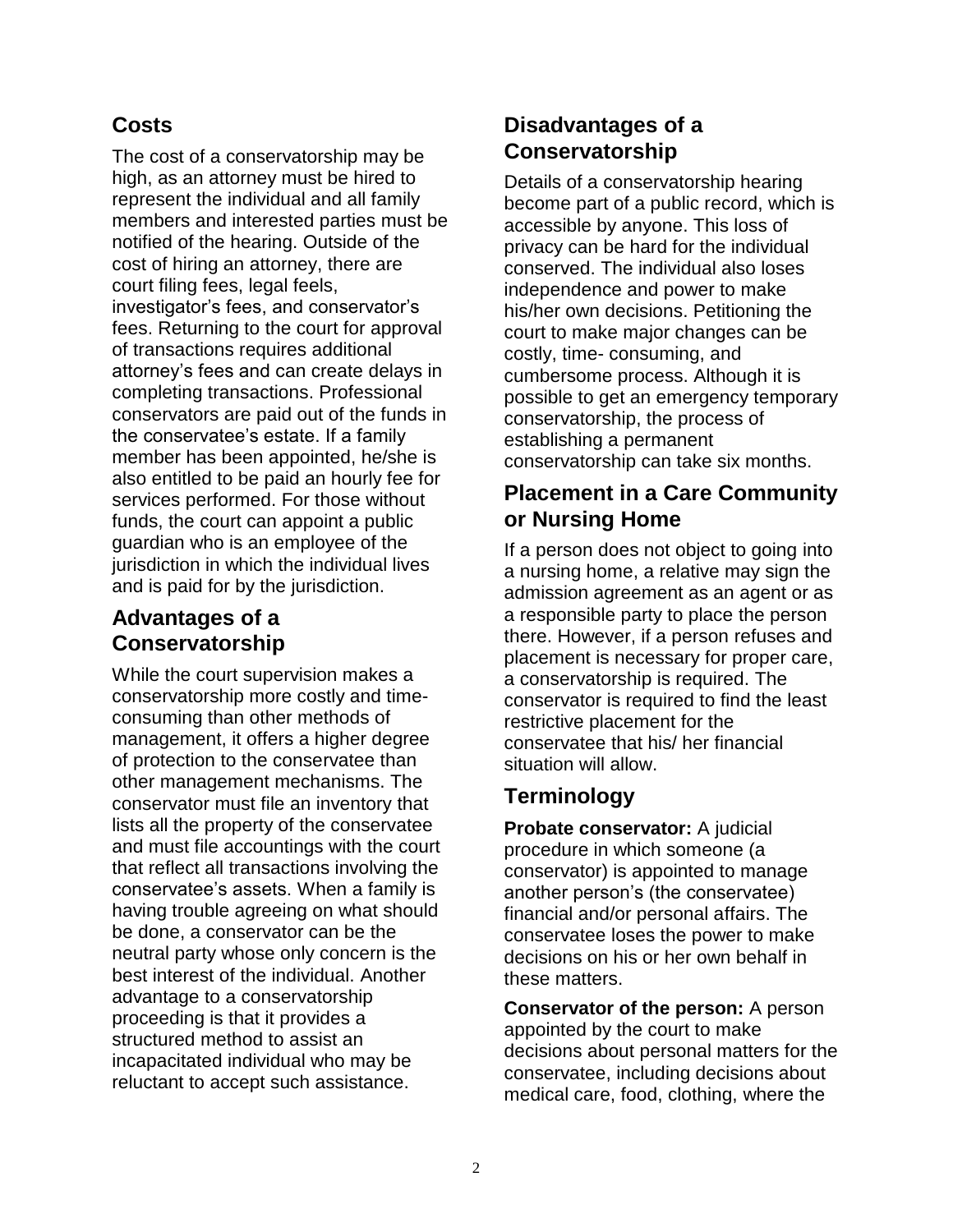## **Costs**

The cost of a conservatorship may be high, as an attorney must be hired to represent the individual and all family members and interested parties must be notified of the hearing. Outside of the cost of hiring an attorney, there are court filing fees, legal feels, investigator's fees, and conservator's fees. Returning to the court for approval of transactions requires additional attorney's fees and can create delays in completing transactions. Professional conservators are paid out of the funds in the conservatee's estate. If a family member has been appointed, he/she is also entitled to be paid an hourly fee for services performed. For those without funds, the court can appoint a public guardian who is an employee of the jurisdiction in which the individual lives and is paid for by the jurisdiction.

## **Advantages of a Conservatorship**

While the court supervision makes a conservatorship more costly and timeconsuming than other methods of management, it offers a higher degree of protection to the conservatee than other management mechanisms. The conservator must file an inventory that lists all the property of the conservatee and must file accountings with the court that reflect all transactions involving the conservatee's assets. When a family is having trouble agreeing on what should be done, a conservator can be the neutral party whose only concern is the best interest of the individual. Another advantage to a conservatorship proceeding is that it provides a structured method to assist an incapacitated individual who may be reluctant to accept such assistance.

## **Disadvantages of a Conservatorship**

Details of a conservatorship hearing become part of a public record, which is accessible by anyone. This loss of privacy can be hard for the individual conserved. The individual also loses independence and power to make his/her own decisions. Petitioning the court to make major changes can be costly, time- consuming, and cumbersome process. Although it is possible to get an emergency temporary conservatorship, the process of establishing a permanent conservatorship can take six months.

## **Placement in a Care Community or Nursing Home**

If a person does not object to going into a nursing home, a relative may sign the admission agreement as an agent or as a responsible party to place the person there. However, if a person refuses and placement is necessary for proper care, a conservatorship is required. The conservator is required to find the least restrictive placement for the conservatee that his/ her financial situation will allow.

## **Terminology**

**Probate conservator:** A judicial procedure in which someone (a conservator) is appointed to manage another person's (the conservatee) financial and/or personal affairs. The conservatee loses the power to make decisions on his or her own behalf in these matters.

**Conservator of the person:** A person appointed by the court to make decisions about personal matters for the conservatee, including decisions about medical care, food, clothing, where the